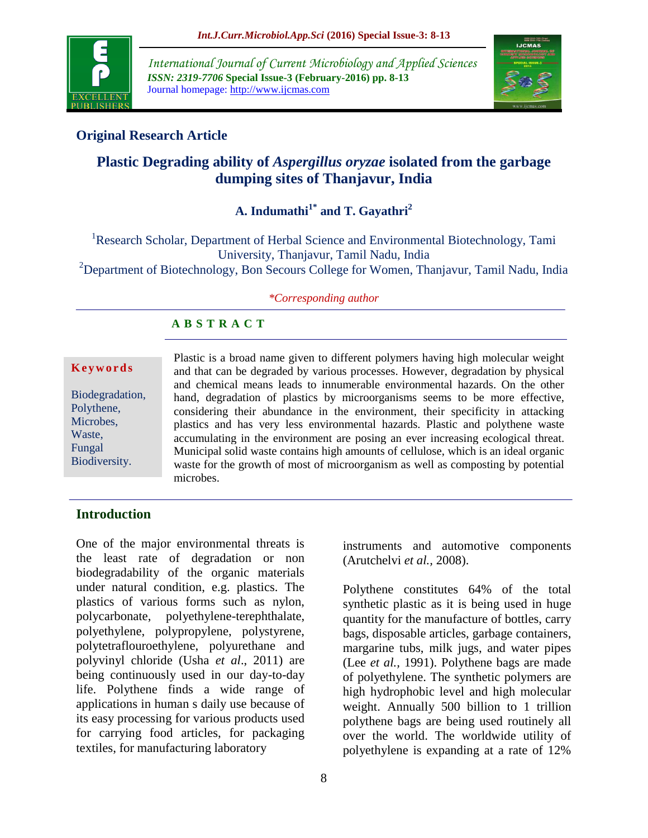

*International Journal of Current Microbiology and Applied Sciences ISSN: 2319-7706* **Special Issue-3 (February-2016) pp. 8-13** Journal homepage: http://www.ijcmas.com



# **Original Research Article**

# **Plastic Degrading ability of** *Aspergillus oryzae* **isolated from the garbage dumping sites of Thanjavur, India**

# **A. Indumathi1\* and T. Gayathri<sup>2</sup>**

<sup>1</sup>Research Scholar, Department of Herbal Science and Environmental Biotechnology, Tami University, Thanjavur, Tamil Nadu, India <sup>2</sup>Department of Biotechnology, Bon Secours College for Women, Thanjavur, Tamil Nadu, India

#### *\*Corresponding author*

## **A B S T R A C T**

#### **K e y w o r d s**

Biodegradation, Polythene, Microbes, Waste, Fungal Biodiversity.

Plastic is a broad name given to different polymers having high molecular weight and that can be degraded by various processes. However, degradation by physical and chemical means leads to innumerable environmental hazards. On the other hand, degradation of plastics by microorganisms seems to be more effective, considering their abundance in the environment, their specificity in attacking plastics and has very less environmental hazards. Plastic and polythene waste accumulating in the environment are posing an ever increasing ecological threat. Municipal solid waste contains high amounts of cellulose, which is an ideal organic waste for the growth of most of microorganism as well as composting by potential microbes.

#### **Introduction**

One of the major environmental threats is the least rate of degradation or non biodegradability of the organic materials under natural condition, e.g. plastics. The plastics of various forms such as nylon, polycarbonate, polyethylene-terephthalate, polyethylene, polypropylene, polystyrene, polytetraflouroethylene, polyurethane and polyvinyl chloride (Usha *et al*., 2011) are being continuously used in our day-to-day life. Polythene finds a wide range of applications in human s daily use because of its easy processing for various products used for carrying food articles, for packaging textiles, for manufacturing laboratory

(Arutchelvi *et al.,* 2008).

instruments and automotive components

Polythene constitutes 64% of the total synthetic plastic as it is being used in huge quantity for the manufacture of bottles, carry bags, disposable articles, garbage containers, margarine tubs, milk jugs, and water pipes (Lee *et al.,* 1991). Polythene bags are made of polyethylene. The synthetic polymers are high hydrophobic level and high molecular weight. Annually 500 billion to 1 trillion polythene bags are being used routinely all over the world. The worldwide utility of polyethylene is expanding at a rate of 12%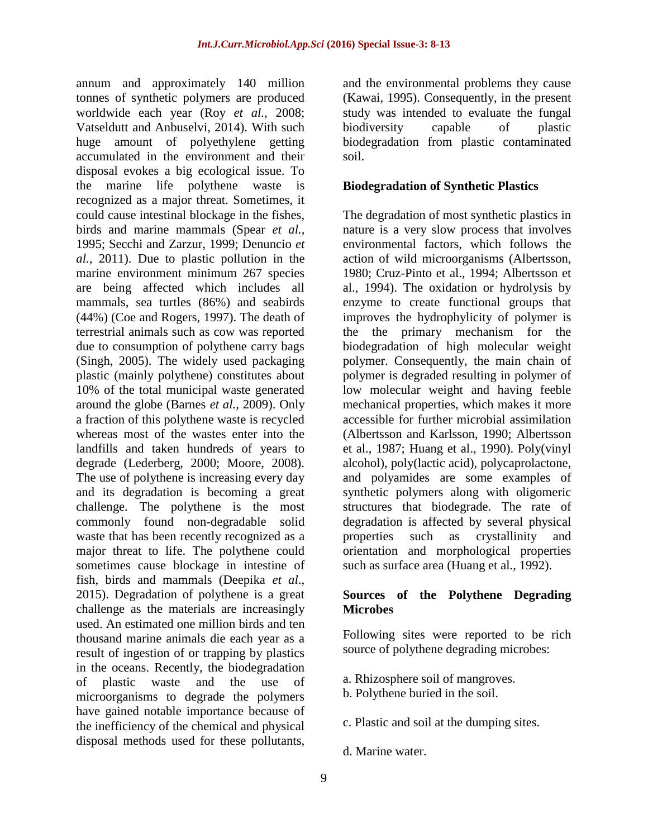annum and approximately 140 million tonnes of synthetic polymers are produced worldwide each year (Roy *et al.,* 2008; Vatseldutt and Anbuselvi, 2014). With such huge amount of polyethylene getting accumulated in the environment and their disposal evokes a big ecological issue. To the marine life polythene waste is recognized as a major threat. Sometimes, it could cause intestinal blockage in the fishes, birds and marine mammals (Spear *et al.,*  1995; Secchi and Zarzur, 1999; Denuncio *et al.,* 2011). Due to plastic pollution in the marine environment minimum 267 species are being affected which includes all mammals, sea turtles (86%) and seabirds (44%) (Coe and Rogers, 1997). The death of terrestrial animals such as cow was reported due to consumption of polythene carry bags (Singh, 2005). The widely used packaging plastic (mainly polythene) constitutes about 10% of the total municipal waste generated around the globe (Barnes *et al.,* 2009). Only a fraction of this polythene waste is recycled whereas most of the wastes enter into the landfills and taken hundreds of years to degrade (Lederberg, 2000; Moore, 2008). The use of polythene is increasing every day and its degradation is becoming a great challenge. The polythene is the most commonly found non-degradable solid waste that has been recently recognized as a major threat to life. The polythene could sometimes cause blockage in intestine of fish, birds and mammals (Deepika *et al*., 2015). Degradation of polythene is a great challenge as the materials are increasingly used. An estimated one million birds and ten thousand marine animals die each year as a result of ingestion of or trapping by plastics in the oceans. Recently, the biodegradation of plastic waste and the use of microorganisms to degrade the polymers have gained notable importance because of the inefficiency of the chemical and physical disposal methods used for these pollutants,

and the environmental problems they cause (Kawai, 1995). Consequently, in the present study was intended to evaluate the fungal biodiversity capable of plastic biodegradation from plastic contaminated soil.

#### **Biodegradation of Synthetic Plastics**

The degradation of most synthetic plastics in nature is a very slow process that involves environmental factors, which follows the action of wild microorganisms (Albertsson, 1980; Cruz-Pinto et al., 1994; Albertsson et al., 1994). The oxidation or hydrolysis by enzyme to create functional groups that improves the hydrophylicity of polymer is the the primary mechanism for the biodegradation of high molecular weight polymer. Consequently, the main chain of polymer is degraded resulting in polymer of low molecular weight and having feeble mechanical properties, which makes it more accessible for further microbial assimilation (Albertsson and Karlsson, 1990; Albertsson et al., 1987; Huang et al., 1990). Poly(vinyl alcohol), poly(lactic acid), polycaprolactone, and polyamides are some examples of synthetic polymers along with oligomeric structures that biodegrade. The rate of degradation is affected by several physical properties such as crystallinity and orientation and morphological properties such as surface area (Huang et al., 1992).

### **Sources of the Polythene Degrading Microbes**

Following sites were reported to be rich source of polythene degrading microbes:

- a. Rhizosphere soil of mangroves.
- b. Polythene buried in the soil.
- c. Plastic and soil at the dumping sites.
- d. Marine water.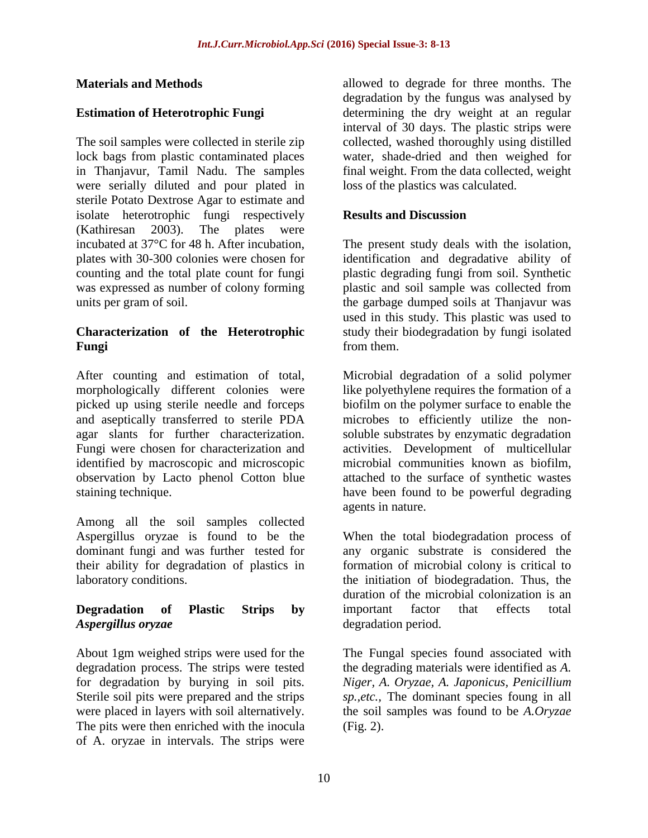#### **Materials and Methods**

### **Estimation of Heterotrophic Fungi**

The soil samples were collected in sterile zip lock bags from plastic contaminated places in Thanjavur, Tamil Nadu. The samples were serially diluted and pour plated in sterile Potato Dextrose Agar to estimate and isolate heterotrophic fungi respectively (Kathiresan 2003). The plates were incubated at 37°C for 48 h. After incubation, plates with 30-300 colonies were chosen for counting and the total plate count for fungi was expressed as number of colony forming units per gram of soil.

### **Characterization of the Heterotrophic Fungi**

After counting and estimation of total, morphologically different colonies were picked up using sterile needle and forceps and aseptically transferred to sterile PDA agar slants for further characterization. Fungi were chosen for characterization and identified by macroscopic and microscopic observation by Lacto phenol Cotton blue staining technique.

Among all the soil samples collected Aspergillus oryzae is found to be the dominant fungi and was further tested for their ability for degradation of plastics in laboratory conditions.

## **Degradation of Plastic Strips by**  *Aspergillus oryzae*

About 1gm weighed strips were used for the degradation process. The strips were tested for degradation by burying in soil pits. Sterile soil pits were prepared and the strips were placed in layers with soil alternatively. The pits were then enriched with the inocula of A. oryzae in intervals. The strips were

allowed to degrade for three months. The degradation by the fungus was analysed by determining the dry weight at an regular interval of 30 days. The plastic strips were collected, washed thoroughly using distilled water, shade-dried and then weighed for final weight. From the data collected, weight loss of the plastics was calculated.

#### **Results and Discussion**

The present study deals with the isolation, identification and degradative ability of plastic degrading fungi from soil. Synthetic plastic and soil sample was collected from the garbage dumped soils at Thanjavur was used in this study. This plastic was used to study their biodegradation by fungi isolated from them.

Microbial degradation of a solid polymer like polyethylene requires the formation of a biofilm on the polymer surface to enable the microbes to efficiently utilize the nonsoluble substrates by enzymatic degradation activities. Development of multicellular microbial communities known as biofilm, attached to the surface of synthetic wastes have been found to be powerful degrading agents in nature.

When the total biodegradation process of any organic substrate is considered the formation of microbial colony is critical to the initiation of biodegradation. Thus, the duration of the microbial colonization is an important factor that effects total degradation period.

The Fungal species found associated with the degrading materials were identified as *A. Niger, A. Oryzae, A. Japonicus, Penicillium sp.,etc.,* The dominant species foung in all the soil samples was found to be *A.Oryzae* (Fig. 2).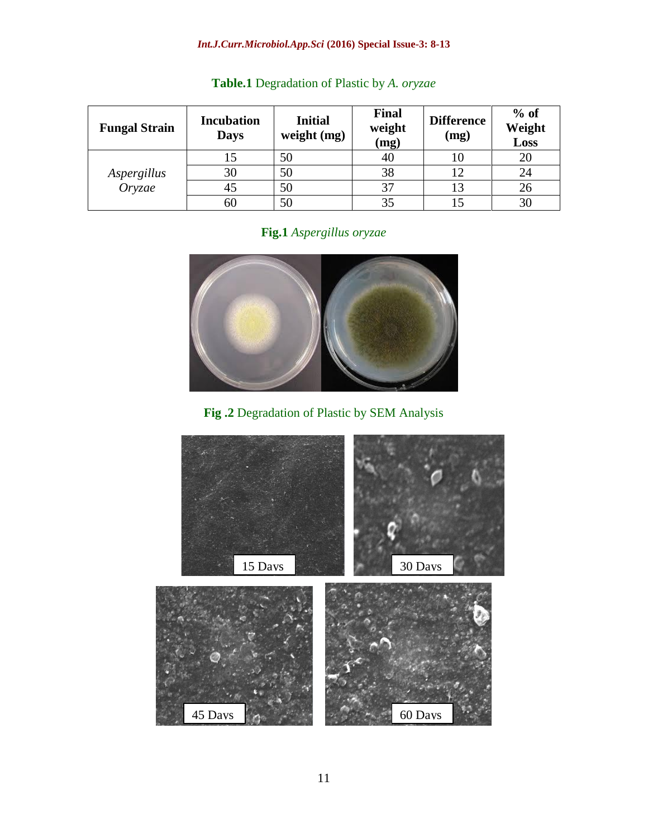## *Int.J.Curr.Microbiol.App.Sci* **(2016) Special Issue-3: 8-13**

| <b>Fungal Strain</b>  | <b>Incubation</b><br><b>Days</b> | <b>Initial</b><br>weight (mg) | <b>Final</b><br>weight<br>(mg) | <b>Difference</b><br>(mg) | $%$ of<br>Weight<br>Loss |
|-----------------------|----------------------------------|-------------------------------|--------------------------------|---------------------------|--------------------------|
| Aspergillus<br>Oryzae |                                  | 50                            | 40                             | 10                        | 20                       |
|                       | 30                               | 50                            | 38                             | 12                        | 24                       |
|                       | 45                               | 50                            | 37                             | 13                        | 26                       |
|                       | 60                               | 50                            | 35                             |                           | 30                       |

## **Table.1** Degradation of Plastic by *A. oryzae*

# **Fig.1** *Aspergillus oryzae*



# **Fig .2** Degradation of Plastic by SEM Analysis

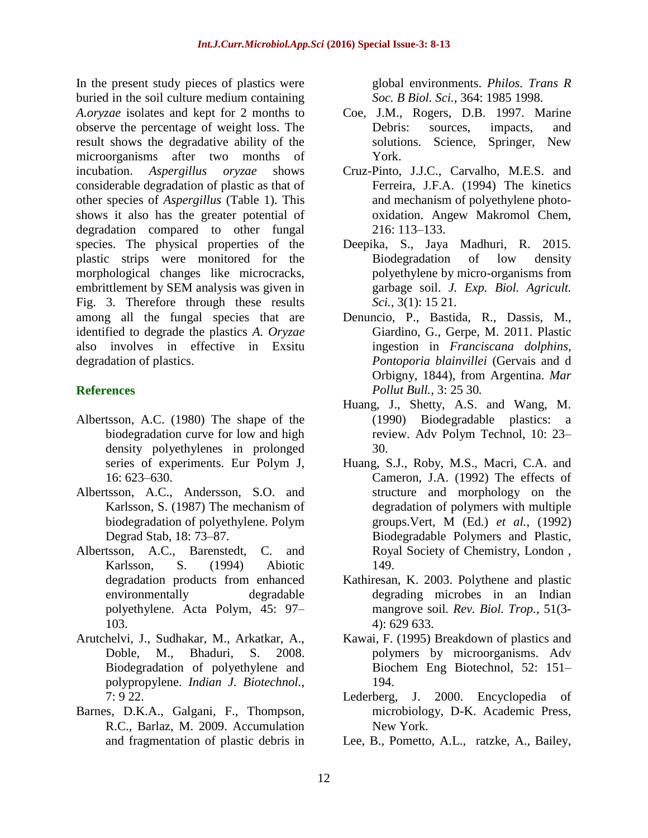In the present study pieces of plastics were buried in the soil culture medium containing *A.oryzae* isolates and kept for 2 months to observe the percentage of weight loss. The result shows the degradative ability of the microorganisms after two months of incubation. *Aspergillus oryzae* shows considerable degradation of plastic as that of other species of *Aspergillus* (Table 1). This shows it also has the greater potential of degradation compared to other fungal species. The physical properties of the plastic strips were monitored for the morphological changes like microcracks, embrittlement by SEM analysis was given in Fig. 3. Therefore through these results among all the fungal species that are identified to degrade the plastics *A. Oryzae* also involves in effective in Exsitu degradation of plastics.

## **References**

- Albertsson, A.C. (1980) The shape of the biodegradation curve for low and high density polyethylenes in prolonged series of experiments. Eur Polym J, 16: 623–630.
- Albertsson, A.C., Andersson, S.O. and Karlsson, S. (1987) The mechanism of biodegradation of polyethylene. Polym Degrad Stab, 18: 73–87.
- Albertsson, A.C., Barenstedt, C. and Karlsson, S. (1994) Abiotic degradation products from enhanced environmentally degradable polyethylene. Acta Polym, 45: 97– 103.
- Arutchelvi, J., Sudhakar, M., Arkatkar, A., Doble, M., Bhaduri, S. 2008. Biodegradation of polyethylene and polypropylene. *Indian J. Biotechnol.*, 7: 9 22.
- Barnes, D.K.A., Galgani, F., Thompson, R.C., Barlaz, M. 2009. Accumulation and fragmentation of plastic debris in

global environments. *Philos. Trans R Soc. B Biol. Sci.*, 364: 1985 1998.

- Coe, J.M., Rogers, D.B. 1997. Marine Debris: sources, impacts, and solutions. Science, Springer, New York.
- Cruz-Pinto, J.J.C., Carvalho, M.E.S. and Ferreira, J.F.A. (1994) The kinetics and mechanism of polyethylene photooxidation. Angew Makromol Chem, 216: 113–133.
- Deepika, S., Jaya Madhuri, R. 2015. Biodegradation of low density polyethylene by micro-organisms from garbage soil. *J. Exp. Biol. Agricult. Sci.*, 3(1): 15 21.
- Denuncio, P., Bastida, R., Dassis, M., Giardino, G., Gerpe, M. 2011. Plastic ingestion in *Franciscana dolphins*, *Pontoporia blainvillei* (Gervais and d Orbigny, 1844), from Argentina. *Mar Pollut Bull.,* 3: 25 30*.*
- Huang, J., Shetty, A.S. and Wang, M. (1990) Biodegradable plastics: a review. Adv Polym Technol, 10: 23– 30.
- Huang, S.J., Roby, M.S., Macri, C.A. and Cameron, J.A. (1992) The effects of structure and morphology on the degradation of polymers with multiple groups.Vert, M (Ed.) *et al.*, (1992) Biodegradable Polymers and Plastic, Royal Society of Chemistry, London , 149.
- Kathiresan, K. 2003. Polythene and plastic degrading microbes in an Indian mangrove soil*. Rev. Biol. Trop.*, 51(3- 4): 629 633.
- Kawai, F. (1995) Breakdown of plastics and polymers by microorganisms. Adv Biochem Eng Biotechnol, 52: 151– 194.
- Lederberg, J. 2000. Encyclopedia of microbiology, D-K. Academic Press, New York.
- Lee, B., Pometto, A.L., ratzke, A., Bailey,